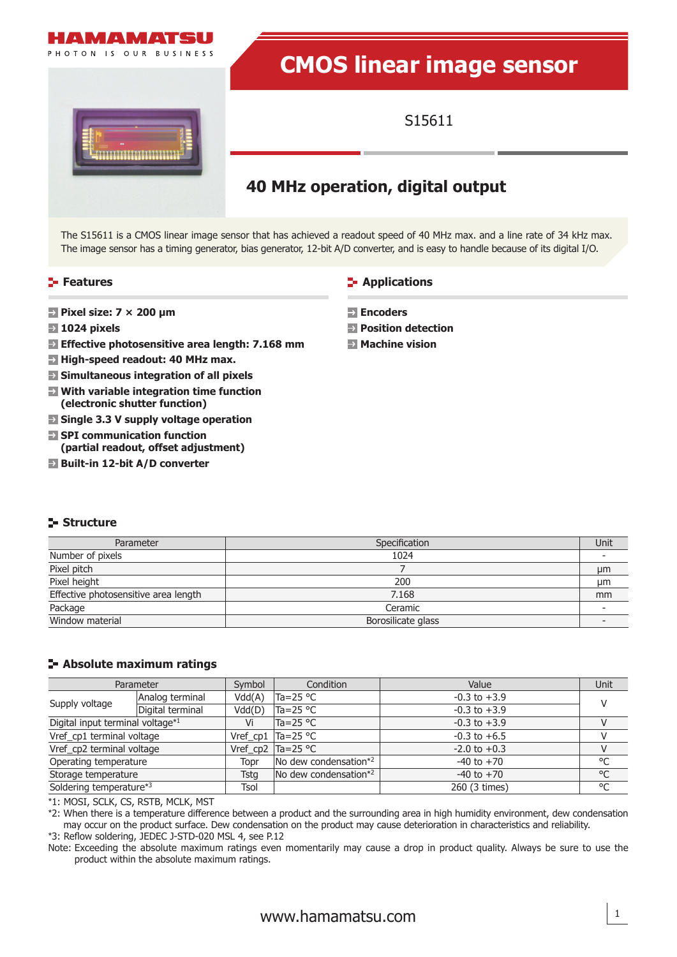

# **CMOS linear image sensor**



## S15611

## **40 MHz operation, digital output**

The S15611 is a CMOS linear image sensor that has achieved a readout speed of 40 MHz max. and a line rate of 34 kHz max. The image sensor has a timing generator, bias generator, 12-bit A/D converter, and is easy to handle because of its digital I/O.

#### **Features**

- **Pixel size: 7 × 200 μm**
- **1024 pixels**
- **Effective photosensitive area length: 7.168 mm**
- **High-speed readout: 40 MHz max.**
- **Simultaneous integration of all pixels**
- **With variable integration time function (electronic shutter function)**
- $\blacksquare$  **Single 3.3 V supply voltage operation**
- **SPI communication function (partial readout, offset adjustment)**
- **Built-in 12-bit A/D converter**

#### **Structure**

| Parameter                            | Specification      | Unit |
|--------------------------------------|--------------------|------|
| Number of pixels                     | 1024               |      |
| Pixel pitch                          |                    | µm   |
| Pixel height                         | 200                | μm   |
| Effective photosensitive area length | 7.168              | mm   |
| Package                              | Ceramic            |      |
| Window material                      | Borosilicate glass |      |

## **Absolute maximum ratings**

| Parameter                        |                  | Symbol      | Condition                                        | Value            | Unit         |
|----------------------------------|------------------|-------------|--------------------------------------------------|------------------|--------------|
|                                  | Analog terminal  | Vdd(A)      | Ta=25 °C                                         | $-0.3$ to $+3.9$ |              |
| Supply voltage                   | Digital terminal | Vdd(D)      | Ta=25 °C                                         | $-0.3$ to $+3.9$ |              |
| Digital input terminal voltage*1 |                  | Vi          | Ta=25 °C                                         | $-0.3$ to $+3.9$ |              |
| Vref_cp1 terminal voltage        |                  |             | Vref_cp1 $\text{Ta}=25 \text{ }^{\circ}\text{C}$ | $-0.3$ to $+6.5$ |              |
| Vref_cp2 terminal voltage        |                  |             | Vref_cp2 $Ta=25 °C$                              | $-2.0$ to $+0.3$ |              |
| Operating temperature            |                  | Topr        | No dew condensation*2                            | $-40$ to $+70$   | °C           |
| Storage temperature              |                  | <b>Tstg</b> | No dew condensation*2<br>$-40$ to $+70$          |                  | $^{\circ}$ C |
| Soldering temperature*3          |                  | Tsol        |                                                  | 260 (3 times)    | °C           |

\*1: MOSI, SCLK, CS, RSTB, MCLK, MST

\*2: When there is a temperature difference between a product and the surrounding area in high humidity environment, dew condensation may occur on the product surface. Dew condensation on the product may cause deterioration in characteristics and reliability. \*3: Reflow soldering, JEDEC J-STD-020 MSL 4, see P.12

Note: Exceeding the absolute maximum ratings even momentarily may cause a drop in product quality. Always be sure to use the product within the absolute maximum ratings.



- **Encoders**
- **Position detection**
- **Machine vision**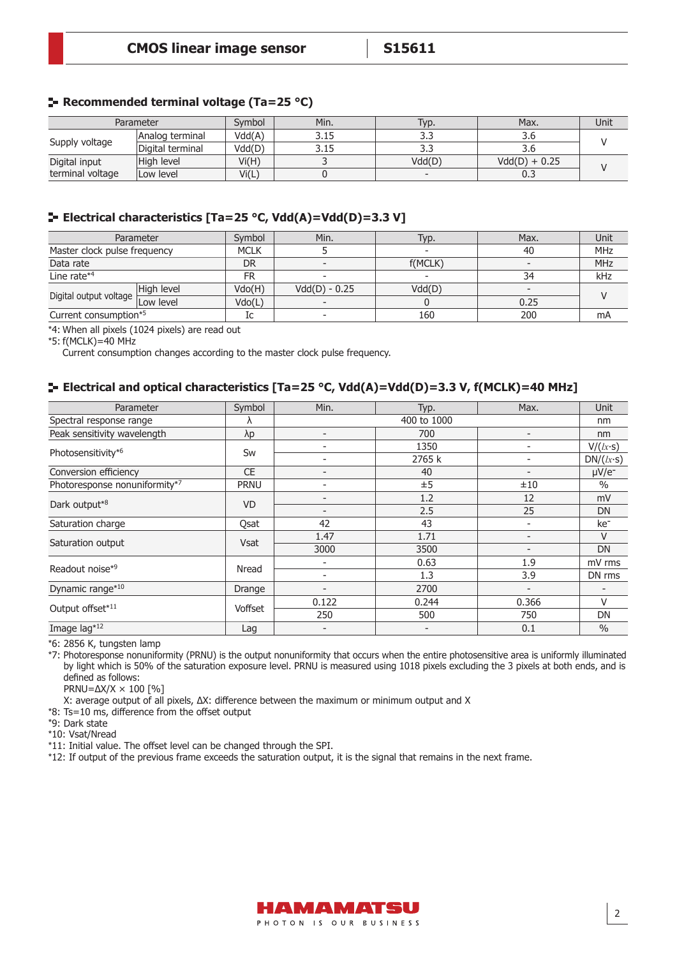## **Recommended terminal voltage (Ta=25 °C)**

| Parameter        |                  | Svmbol | Min. | Typ.   | Max.            | Unit |  |
|------------------|------------------|--------|------|--------|-----------------|------|--|
|                  | Analog terminal  | Vdd(A) | 3.15 |        | კ.ხ             |      |  |
| Supply voltage   | Digital terminal | Vdd(D) | 3.15 |        | კ.ხ             |      |  |
| Digital input    | High level       | Vi(H)  |      | Vdd(D) | $Vdd(D) + 0.25$ |      |  |
| terminal voltage | Low level        | Vi(L)  |      |        | 0.3             |      |  |

## **Electrical characteristics [Ta=25 °C, Vdd(A)=Vdd(D)=3.3 V]**

| Parameter                        |            | Symbol      | Min.            | Typ.    | Max. | Unit |
|----------------------------------|------------|-------------|-----------------|---------|------|------|
| Master clock pulse frequency     |            | <b>MCLK</b> |                 |         | 40   | MHz  |
| Data rate                        |            | <b>DR</b>   |                 | f(MCLK) |      | MHz  |
| Line rate* <sup>4</sup>          |            | FR          |                 |         | 34   | kHz  |
|                                  | High level | Vdo(H)      | $Vdd(D) - 0.25$ | Vdd(D)  |      |      |
| Digital output voltage Low level |            | Vdo(L)      |                 |         | 0.25 |      |
| Current consumption*5            |            | Ic          |                 | 160     | 200  | mA   |

\*4: When all pixels (1024 pixels) are read out

\*5: f(MCLK)=40 MHz

Current consumption changes according to the master clock pulse frequency.

## **Electrical and optical characteristics [Ta=25 °C, Vdd(A)=Vdd(D)=3.3 V, f(MCLK)=40 MHz]**

| Parameter                     | Symbol      | Min.  | Typ.        | Max.                     | Unit            |
|-------------------------------|-------------|-------|-------------|--------------------------|-----------------|
| Spectral response range       | Λ           |       | 400 to 1000 |                          | nm              |
| Peak sensitivity wavelength   | λp          |       | 700         | $\overline{\phantom{0}}$ | nm              |
| Photosensitivity*6            | Sw          |       | 1350        | ۰                        | V/(lx·s)        |
|                               |             |       | 2765 k      | ۰                        | DN/(lx·s)       |
| Conversion efficiency         | <b>CE</b>   |       | 40          |                          | $\mu V/e^-$     |
| Photoresponse nonuniformity*7 | <b>PRNU</b> |       | ±5          | ±10                      | $\frac{0}{0}$   |
|                               | <b>VD</b>   |       | 1.2         | 12                       | mV              |
| Dark output*8                 |             |       | 2.5         | 25                       | DN              |
| Saturation charge             | Qsat        | 42    | 43          |                          | ke <sup>-</sup> |
|                               | Vsat        | 1.47  | 1.71        |                          | V               |
| Saturation output             |             | 3000  | 3500        |                          | <b>DN</b>       |
| Readout noise*9               | Nread       |       | 0.63        | 1.9                      | mV rms          |
|                               |             |       | 1.3         | 3.9                      | DN rms          |
| Dynamic range*10              | Drange      |       | 2700        |                          |                 |
| Output offset*11              | Voffset     | 0.122 | 0.244       | 0.366                    | $\vee$          |
|                               |             | 250   | 500         | 750                      | DN              |
| Image lag*12                  | Lag         |       |             | 0.1                      | $\frac{0}{0}$   |

\*6: 2856 K, tungsten lamp

\*7: Photoresponse nonuniformity (PRNU) is the output nonuniformity that occurs when the entire photosensitive area is uniformly illuminated by light which is 50% of the saturation exposure level. PRNU is measured using 1018 pixels excluding the 3 pixels at both ends, and is defined as follows:

PRNU=∆X/X × 100 [%]

X: average output of all pixels,  $\Delta X$ : difference between the maximum or minimum output and X

 $*8$ : Ts=10 ms, difference from the offset output

\*9: Dark state

\*10: Vsat/Nread

\*11: Initial value. The offset level can be changed through the SPI.

\*12: If output of the previous frame exceeds the saturation output, it is the signal that remains in the next frame.

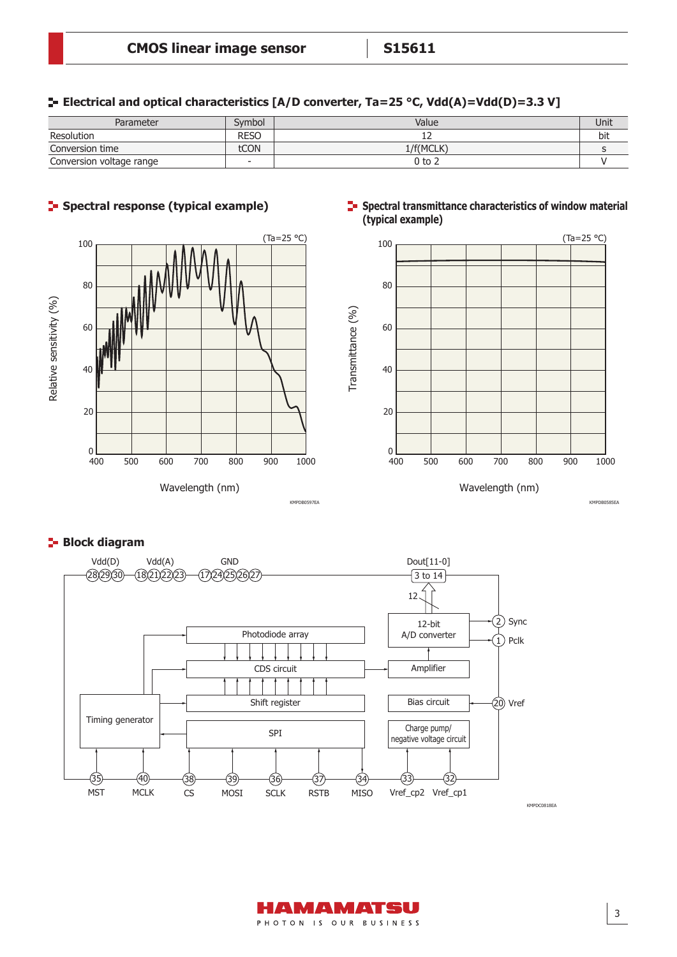**Electrical and optical characteristics [A/D converter, Ta=25 °C, Vdd(A)=Vdd(D)=3.3 V]**

| Parameter                | Svmbol      | Value     | Unit |
|--------------------------|-------------|-----------|------|
| Resolution               | <b>RESO</b> | --        | bit  |
| Conversion time          | tCON        | 1/f(MCLK) |      |
| Conversion voltage range |             | 0 to 2    |      |





## **Spectral transmittance characteristics of window material (typical example)**







KMPDB0585EA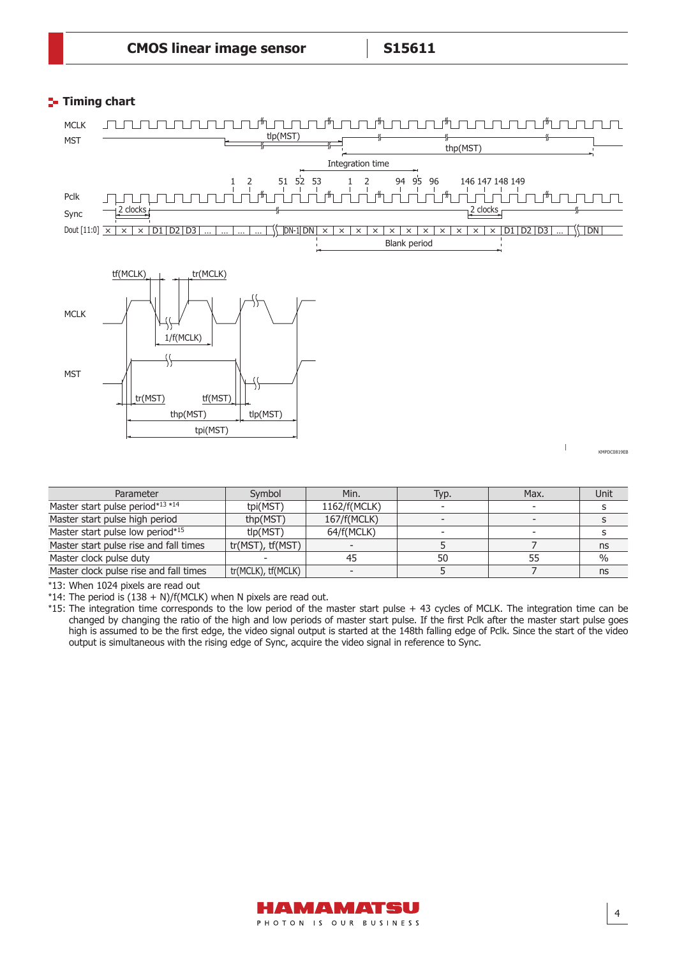## **Timing chart**



| Parameter                              | Symbol             | Min.         | Typ. | Max. | Unit          |
|----------------------------------------|--------------------|--------------|------|------|---------------|
| Master start pulse period*13 *14       | tpi(MST)           | 1162/f(MCLK) |      |      |               |
| Master start pulse high period         | thp(MST)           | 167/f(MCLK)  |      |      |               |
| Master start pulse low period*15       | tlp(MST)           | 64/f(MCLK)   |      |      |               |
| Master start pulse rise and fall times | tr(MST), tf(MST)   |              |      |      | ns            |
| Master clock pulse duty                |                    |              | 50   |      | $\frac{0}{0}$ |
| Master clock pulse rise and fall times | tr(MCLK), tf(MCLK) |              |      |      | ns            |

\*13: When 1024 pixels are read out

\*14: The period is  $(138 + N)/f(MCLK)$  when N pixels are read out.

\*15: The integration time corresponds to the low period of the master start pulse + 43 cycles of MCLK. The integration time can be changed by changing the ratio of the high and low periods of master start pulse. If the first Pclk after the master start pulse goes high is assumed to be the first edge, the video signal output is started at the 148th falling edge of Pclk. Since the start of the video output is simultaneous with the rising edge of Sync, acquire the video signal in reference to Sync.

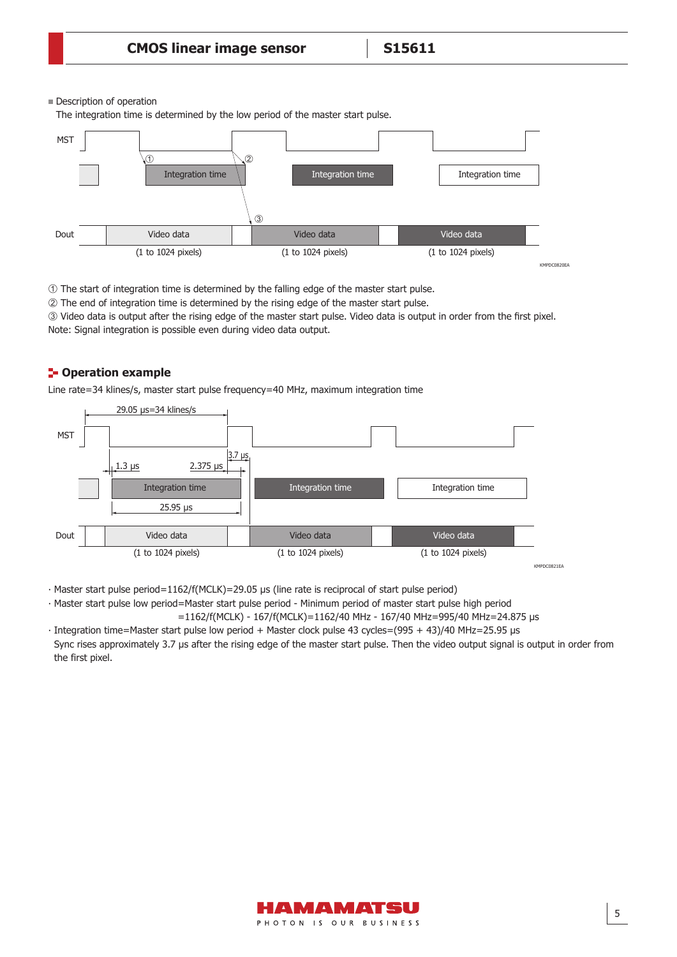#### Description of operation

The integration time is determined by the low period of the master start pulse.



 $\odot$  The start of integration time is determined by the falling edge of the master start pulse.

The end of integration time is determined by the rising edge of the master start pulse.

3) Video data is output after the rising edge of the master start pulse. Video data is output in order from the first pixel. Note: Signal integration is possible even during video data output.

## **E- Operation example**

Line rate=34 klines/s, master start pulse frequency=40 MHz, maximum integration time



• Master start pulse period=1162/f(MCLK)=29.05 μs (line rate is reciprocal of start pulse period)

∙ Master start pulse low period =Master start pulse period - Minimum period of master start pulse high period =1162/f(MCLK) - 167/f(MCLK)=1162/40 MHz - 167/40 MHz=995/40 MHz=24.875 μs

∙ Integration time=Master start pulse low period + Master clock pulse 43 cycles=(995 + 43)/40 MHz=25.95 μs Sync rises approximately 3.7 μs after the rising edge of the master start pulse. Then the video output signal is output in order from the first pixel.

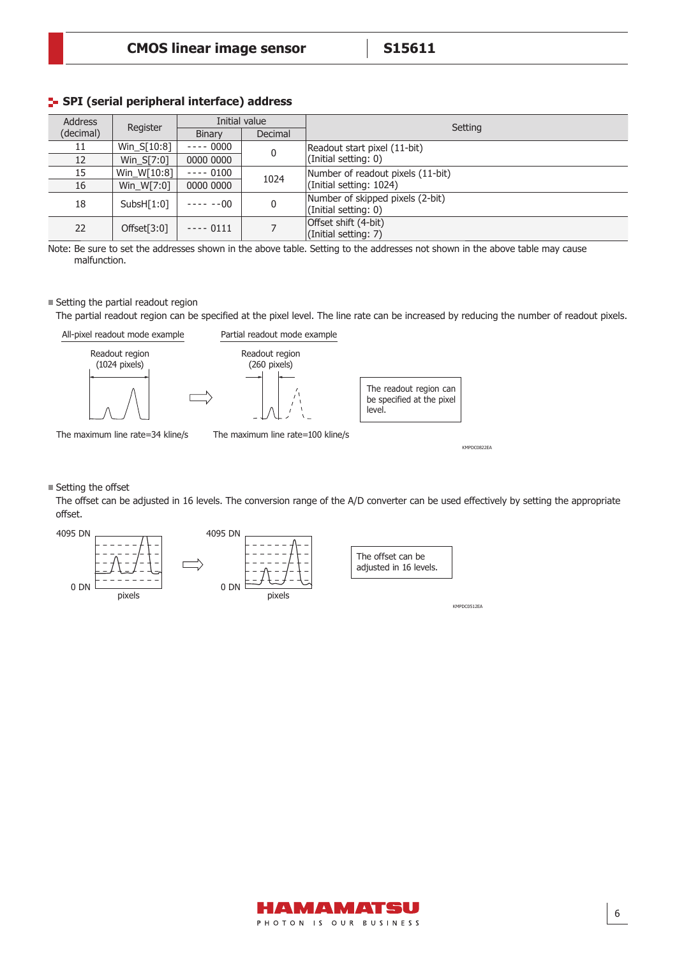## **SPI (serial peripheral interface) address**

| <b>Address</b> |              |            | Initial value | Setting                                                  |
|----------------|--------------|------------|---------------|----------------------------------------------------------|
| (decimal)      | Register     | Binary     | Decimal       |                                                          |
| 11             | Win S[10:8]  | $--- 0000$ |               | Readout start pixel (11-bit)                             |
| 12             | $Win_S[7:0]$ | 0000 0000  |               | (Initial setting: 0)                                     |
| 15             | Win_W[10:8]  | $--- 0100$ | 1024          | Number of readout pixels (11-bit)                        |
| 16             | Win W[7:0]   | 0000 0000  |               | (Initial setting: 1024)                                  |
| 18             | SubsH[1:0]   | $---00$    |               | Number of skipped pixels (2-bit)<br>(Initial setting: 0) |
| 22             | Offset[3:0]  | $--- 0111$ |               | Offset shift (4-bit)<br>(Initial setting: 7)             |

Note: Be sure to set the addresses shown in the above table. Setting to the addresses not shown in the above table may cause malfunction.

#### Setting the partial readout region

The partial readout region can be specified at the pixel level. The line rate can be increased by reducing the number of readout pixels.



The maximum line rate=34 kline/s The maximum line rate=100 kline/s

KMPDC0822EA

#### $\blacksquare$  Setting the offset

The offset can be adjusted in 16 levels. The conversion range of the A/D converter can be used effectively by setting the appropriate offset.



KMPDC0512EA

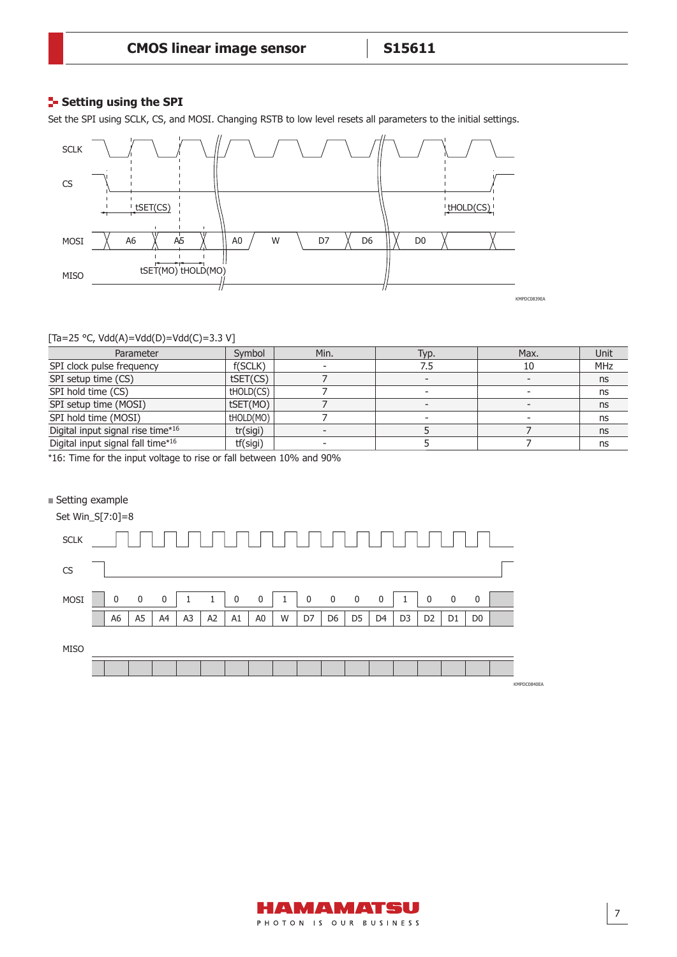## **Setting using the SPI**

Set the SPI using SCLK, CS, and MOSI. Changing RSTB to low level resets all parameters to the initial settings.



#### [Ta=25 °C, Vdd(A)=Vdd(D)=Vdd(C)=3.3 V]

| Parameter                         | Symbol    | Min. | Typ. | Max. | Unit       |
|-----------------------------------|-----------|------|------|------|------------|
| SPI clock pulse frequency         | f(SCLK)   |      | 7.5  | 10   | <b>MHz</b> |
| SPI setup time (CS)               | tSET(CS)  |      |      |      | ns         |
| SPI hold time (CS)                | tHOLD(CS) |      |      |      | ns         |
| SPI setup time (MOSI)             | tSET(MO)  |      |      |      | ns         |
| SPI hold time (MOSI)              | thold(MO) |      |      |      | ns         |
| Digital input signal rise time*16 | tr(sigi)  |      |      |      | ns         |
| Digital input signal fall time*16 | tf(sigi)  |      |      |      | ns         |

\*16: Time for the input voltage to rise or fall between 10% and 90%

#### ■ Setting example



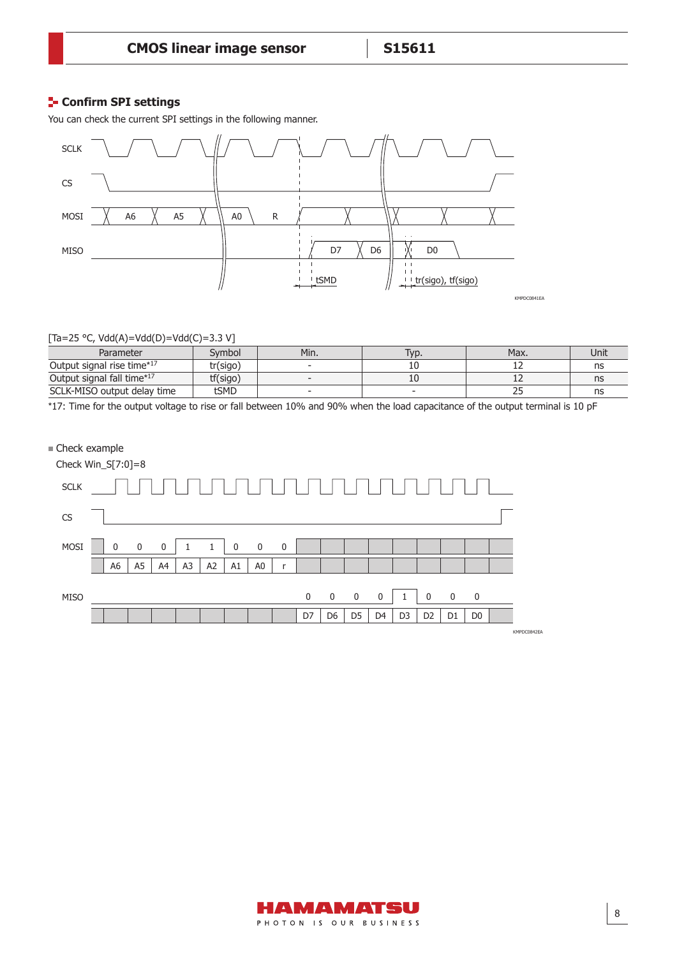## **Confirm SPI settings**

You can check the current SPI settings in the following manner.



#### [Ta=25 °C, Vdd(A)=Vdd(D)=Vdd(C)=3.3 V]

| Parameter                   | Svmbol   | Min. | VD. | Max. | Unit |
|-----------------------------|----------|------|-----|------|------|
| Output signal rise time*17  | tr(sigo) |      | ᅩ   |      | ns   |
| Output signal fall time*17  | tf(sigo) |      | ᆚ   | --   | ns   |
| SCLK-MISO output delay time | tSMD     |      |     | بے   | ns   |

\*17: Time for the output voltage to rise or fall between 10% and 90% when the load capacitance of the output terminal is 10 pF



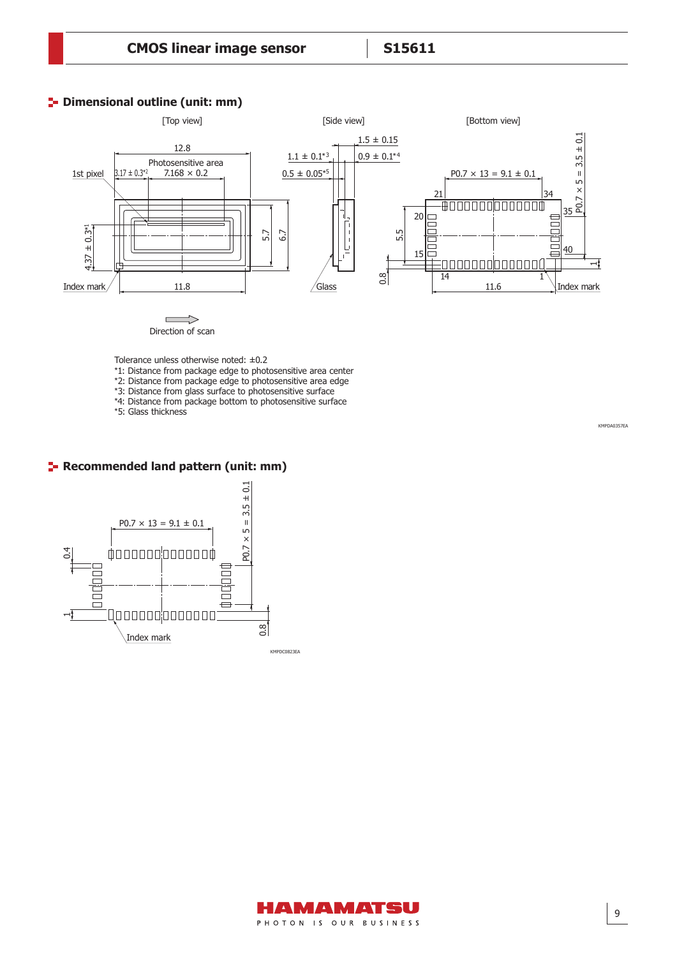## **P** Dimensional outline (unit: mm)



Direction of scan

Tolerance unless otherwise noted: ±0.2

- \*1: Distance from package edge to photosensitive area center
- \*2: Distance from package edge to photosensitive area edge
- \*3: Distance from glass surface to photosensitive surface
- \*4: Distance from package bottom to photosensitive surface

\*5: Glass thickness

KMPDA0357EA

## **F** Recommended land pattern (unit: mm)



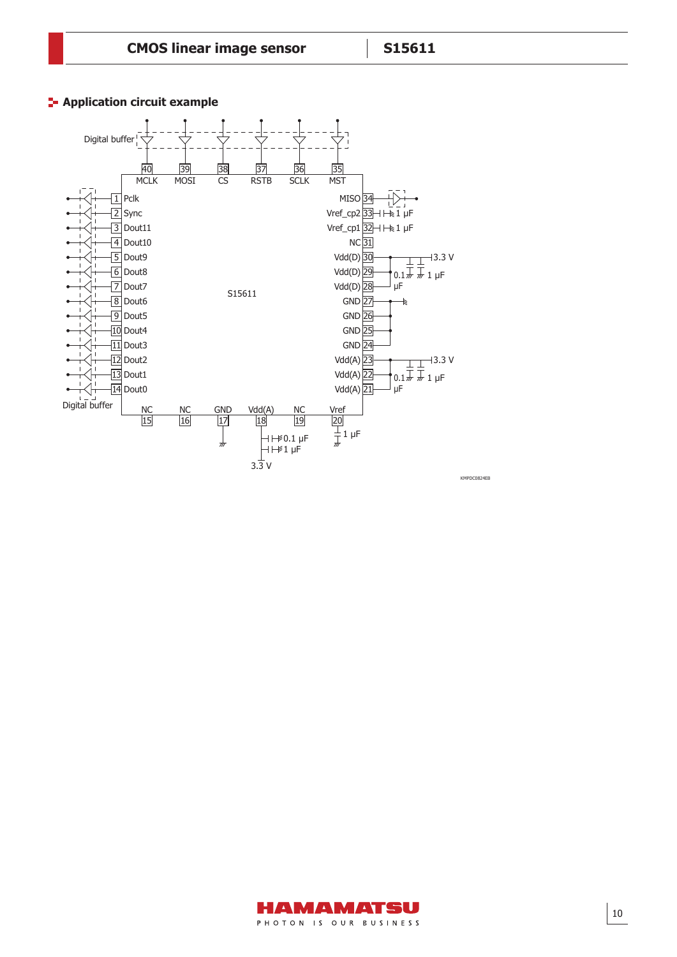



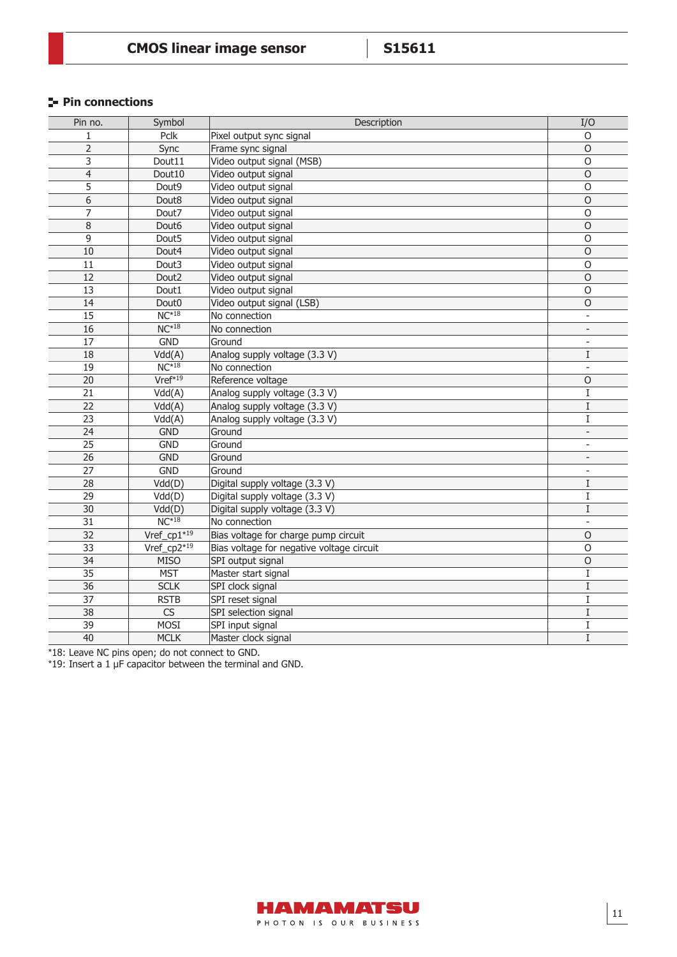## **Pin connections**

| Pin no.         | Symbol                 | Description                               | I/O                      |
|-----------------|------------------------|-------------------------------------------|--------------------------|
| $\mathbf{1}$    | Pclk                   | Pixel output sync signal                  | O                        |
| $\overline{2}$  | Sync                   | Frame sync signal                         | $\circ$                  |
| 3               | Dout11                 | Video output signal (MSB)                 | $\circ$                  |
| $\overline{4}$  | Dout10                 | Video output signal                       | 0                        |
| 5               | Dout9                  | Video output signal                       | $\mathsf O$              |
| 6               | Dout8                  | Video output signal                       | $\circ$                  |
| 7               | Dout7                  | Video output signal                       | $\circ$                  |
| 8               | Dout6                  | Video output signal                       | $\circ$                  |
| 9               | Dout <sub>5</sub>      | Video output signal                       | $\circ$                  |
| 10              | Dout4                  | Video output signal                       | $\Omega$                 |
| 11              | Dout3                  | Video output signal                       | $\circ$                  |
| $\overline{12}$ | Dout <sub>2</sub>      | Video output signal                       | $\circ$                  |
| 13              | Dout1                  | Video output signal                       | $\circ$                  |
| 14              | Dout <sub>0</sub>      | Video output signal (LSB)                 | O                        |
| 15              | $NC*18$                | No connection                             |                          |
| 16              | $NC*18$                | No connection                             | $\overline{\phantom{a}}$ |
| 17              | <b>GND</b>             | Ground                                    |                          |
| 18              | Vdd(A)                 | Analog supply voltage (3.3 V)             | $\rm I$                  |
| 19              | $NC*18$                | No connection                             | $\blacksquare$           |
| 20              | $Vref*19$              | Reference voltage                         | 0                        |
| 21              | $\overline{Vdd}(A)$    | Analog supply voltage (3.3 V)             | I                        |
| 22              | Vdd(A)                 | Analog supply voltage (3.3 V)             | $\rm I$                  |
| 23              | Vdd(A)                 | Analog supply voltage (3.3 V)             | $\rm I$                  |
| 24              | <b>GND</b>             | Ground                                    | $\overline{\phantom{a}}$ |
| 25              | <b>GND</b>             | Ground                                    | $\overline{\phantom{a}}$ |
| 26              | <b>GND</b>             | Ground                                    | $\overline{\phantom{a}}$ |
| 27              | <b>GND</b>             | Ground                                    | $\overline{\phantom{a}}$ |
| 28              | Vdd(D)                 | Digital supply voltage (3.3 V)            | I                        |
| $\overline{29}$ | Vdd(D)                 | Digital supply voltage (3.3 V)            | I                        |
| 30              | Vdd(D)                 | Digital supply voltage (3.3 V)            | $\mathbf I$              |
| 31              | $NC*18$                | No connection                             |                          |
| 32              | Vref_cp $1*19$         | Bias voltage for charge pump circuit      | $\mathsf O$              |
| $\overline{33}$ | Vref_cp2*19            | Bias voltage for negative voltage circuit | $\circ$                  |
| $\overline{34}$ | <b>MISO</b>            | SPI output signal                         | $\circ$                  |
| 35              | <b>MST</b>             | Master start signal                       | $\mathbf I$              |
| 36              | <b>SCLK</b>            | SPI clock signal                          | I                        |
| 37              | <b>RSTB</b>            | SPI reset signal                          | $\mathbf I$              |
| $\overline{38}$ | $\overline{\text{CS}}$ | SPI selection signal                      | $\rm I$                  |
| 39              | <b>MOSI</b>            | SPI input signal                          | I                        |
| 40              | <b>MCLK</b>            | Master clock signal                       | $\rm I$                  |

\*18: Leave NC pins open; do not connect to GND.

\*19: Insert a 1 μF capacitor between the terminal and GND.

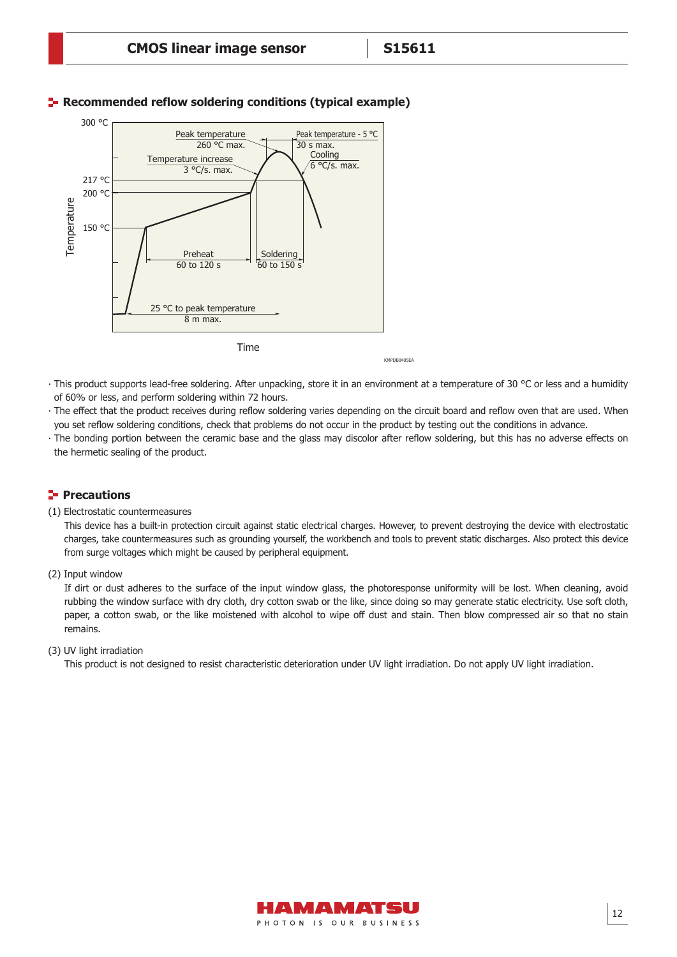

## **F** Recommended reflow soldering conditions (typical example)

KMPDR0405EA

- ∙ This product supports lead-free soldering. After unpacking, store it in an environment at a temperature of 30 °C or less and a humidity of 60% or less, and perform soldering within 72 hours.
- The effect that the product receives during reflow soldering varies depending on the circuit board and reflow oven that are used. When you set reflow soldering conditions, check that problems do not occur in the product by testing out the conditions in advance.
- The bonding portion between the ceramic base and the glass may discolor after reflow soldering, but this has no adverse effects on the hermetic sealing of the product.

## **Precautions**

#### (1) Electrostatic countermeasures

This device has a built-in protection circuit against static electrical charges. However, to prevent destroying the device with electrostatic charges, take countermeasures such as grounding yourself, the workbench and tools to prevent static discharges. Also protect this device from surge voltages which might be caused by peripheral equipment.

(2) Input window

If dirt or dust adheres to the surface of the input window glass, the photoresponse uniformity will be lost. When cleaning, avoid rubbing the window surface with dry cloth, dry cotton swab or the like, since doing so may generate static electricity. Use soft cloth, paper, a cotton swab, or the like moistened with alcohol to wipe off dust and stain. Then blow compressed air so that no stain remains.

#### (3) UV light irradiation

This product is not designed to resist characteristic deterioration under UV light irradiation. Do not apply UV light irradiation.